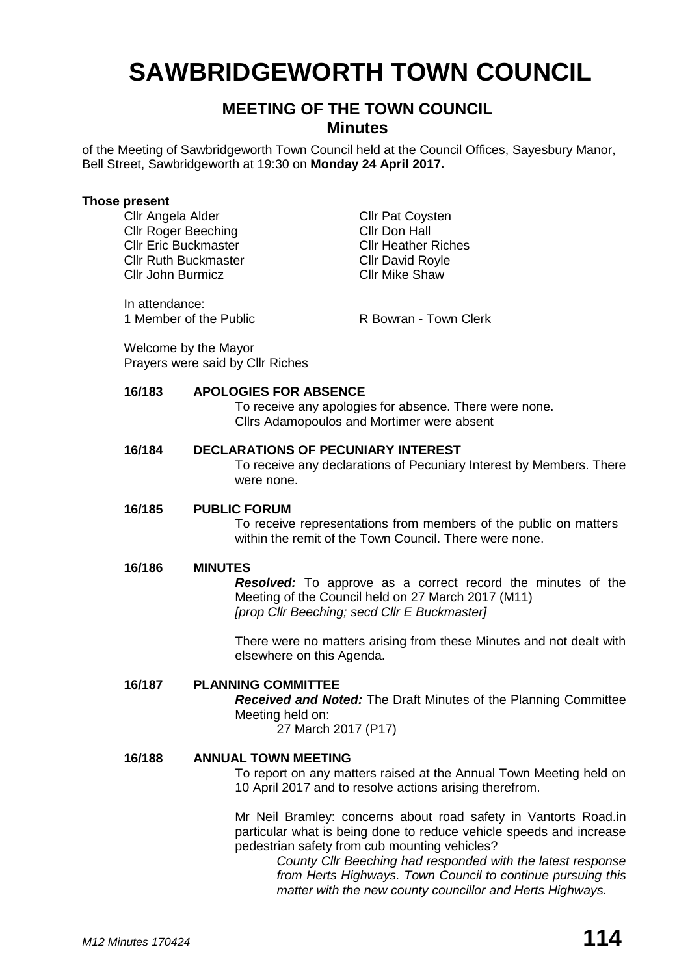# **SAWBRIDGEWORTH TOWN COUNCIL**

# **MEETING OF THE TOWN COUNCIL Minutes**

of the Meeting of Sawbridgeworth Town Council held at the Council Offices, Sayesbury Manor, Bell Street, Sawbridgeworth at 19:30 on **Monday 24 April 2017.**

#### **Those present**

Cllr Angela Alder Cllr Pat Coysten<br>Cllr Roger Beeching Cllr Don Hall Cllr Roger Beeching Cllr Eric Buckmaster Cllr Heather Riches Cllr Ruth Buckmaster Cllr David Royle Cllr John Burmicz Cllr Mike Shaw

In attendance: 1 Member of the Public **R** Bowran - Town Clerk

Welcome by the Mayor Prayers were said by Cllr Riches

## **16/183 APOLOGIES FOR ABSENCE**

To receive any apologies for absence. There were none. Cllrs Adamopoulos and Mortimer were absent

### **16/184 DECLARATIONS OF PECUNIARY INTEREST**

To receive any declarations of Pecuniary Interest by Members. There were none.

#### **16/185 PUBLIC FORUM**

To receive representations from members of the public on matters within the remit of the Town Council. There were none.

#### **16/186 MINUTES**

*Resolved:* To approve as a correct record the minutes of the Meeting of the Council held on 27 March 2017 (M11) *[prop Cllr Beeching; secd Cllr E Buckmaster]*

There were no matters arising from these Minutes and not dealt with elsewhere on this Agenda.

#### **16/187 PLANNING COMMITTEE**

*Received and Noted:* The Draft Minutes of the Planning Committee Meeting held on:

27 March 2017 (P17)

### **16/188 ANNUAL TOWN MEETING**

To report on any matters raised at the Annual Town Meeting held on 10 April 2017 and to resolve actions arising therefrom.

Mr Neil Bramley: concerns about road safety in Vantorts Road.in particular what is being done to reduce vehicle speeds and increase pedestrian safety from cub mounting vehicles?

> *County Cllr Beeching had responded with the latest response from Herts Highways. Town Council to continue pursuing this matter with the new county councillor and Herts Highways.*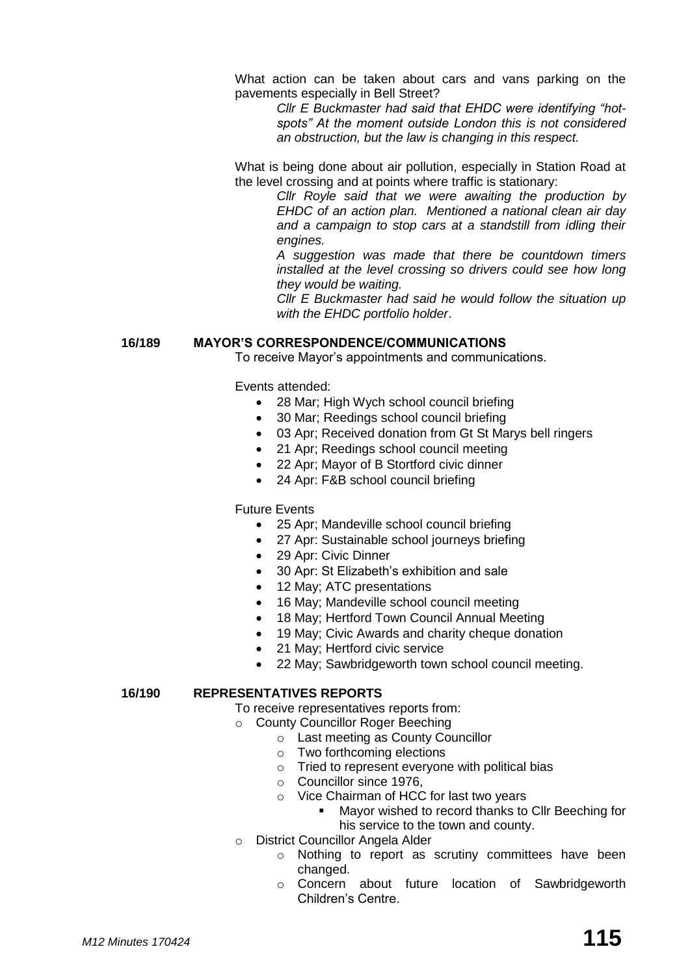What action can be taken about cars and vans parking on the pavements especially in Bell Street?

> *Cllr E Buckmaster had said that EHDC were identifying "hotspots" At the moment outside London this is not considered an obstruction, but the law is changing in this respect.*

What is being done about air pollution, especially in Station Road at the level crossing and at points where traffic is stationary:

*Cllr Royle said that we were awaiting the production by EHDC of an action plan. Mentioned a national clean air day and a campaign to stop cars at a standstill from idling their engines.*

*A suggestion was made that there be countdown timers installed at the level crossing so drivers could see how long they would be waiting.*

*Cllr E Buckmaster had said he would follow the situation up with the EHDC portfolio holder*.

#### **16/189 MAYOR'S CORRESPONDENCE/COMMUNICATIONS**

To receive Mayor's appointments and communications.

Events attended:

- 28 Mar: High Wych school council briefing
- 30 Mar; Reedings school council briefing
- 03 Apr; Received donation from Gt St Marys bell ringers
- 21 Apr; Reedings school council meeting
- 22 Apr; Mayor of B Stortford civic dinner
- 24 Apr: F&B school council briefing

Future Events

- 25 Apr; Mandeville school council briefing
- 27 Apr: Sustainable school journeys briefing
- 29 Apr: Civic Dinner
- 30 Apr: St Elizabeth's exhibition and sale
- 12 May; ATC presentations
- 16 May; Mandeville school council meeting
- 18 May; Hertford Town Council Annual Meeting
- 19 May; Civic Awards and charity cheque donation
- 21 May; Hertford civic service
- 22 May; Sawbridgeworth town school council meeting.

## **16/190 REPRESENTATIVES REPORTS**

To receive representatives reports from:

- o County Councillor Roger Beeching
	- o Last meeting as County Councillor
	- o Two forthcoming elections
	- o Tried to represent everyone with political bias
	- o Councillor since 1976,
	- o Vice Chairman of HCC for last two years
		- Mayor wished to record thanks to Cllr Beeching for his service to the town and county.
- o District Councillor Angela Alder
	- o Nothing to report as scrutiny committees have been changed.
	- o Concern about future location of Sawbridgeworth Children's Centre.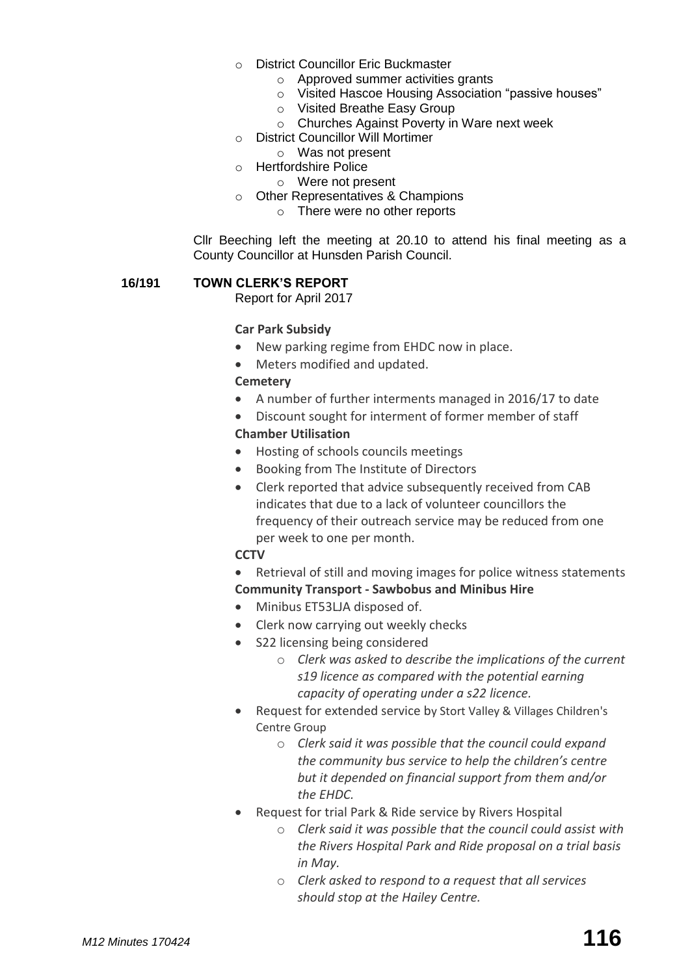- o District Councillor Eric Buckmaster
	- o Approved summer activities grants
	- o Visited Hascoe Housing Association "passive houses"
	- o Visited Breathe Easy Group
	- o Churches Against Poverty in Ware next week
- o District Councillor Will Mortimer
	- o Was not present
- o Hertfordshire Police
	- o Were not present
- o Other Representatives & Champions
	- o There were no other reports

Cllr Beeching left the meeting at 20.10 to attend his final meeting as a County Councillor at Hunsden Parish Council.

## **16/191 TOWN CLERK'S REPORT**

Report for April 2017

## **Car Park Subsidy**

- New parking regime from EHDC now in place.
- Meters modified and updated.

# **[Cemetery](http://www.sawbridgeworth-tc.gov.uk/town-information/town-council-services/cemetery)**

- A number of further interments managed in 2016/17 to date
- Discount sought for interment of former member of staff **Chamber Utilisation**
- Hosting of schools councils meetings
- Booking from The Institute of Directors
- Clerk reported that advice subsequently received from CAB indicates that due to a lack of volunteer councillors the frequency of their outreach service may be reduced from one per week to one per month.

# **CCTV**

- Retrieval of still and moving images for police witness statements **Community Transport - [Sawbobus](http://www.sawbridgeworth-tc.gov.uk/town-information/town-council-services/sawbobus) and [Minibus Hire](http://www.sawbridgeworth-tc.gov.uk/town-information/town-council-services/minibus-hire)**
- Minibus ET53LJA disposed of.
- Clerk now carrying out weekly checks
- S22 licensing being considered
	- o *Clerk was asked to describe the implications of the current s19 licence as compared with the potential earning capacity of operating under a s22 licence.*
- Request for extended service by Stort Valley & Villages Children's Centre Group
	- o *Clerk said it was possible that the council could expand the community bus service to help the children's centre but it depended on financial support from them and/or the EHDC.*
- Request for trial Park & Ride service by Rivers Hospital
	- o *Clerk said it was possible that the council could assist with the Rivers Hospital Park and Ride proposal on a trial basis in May.*
	- o *Clerk asked to respond to a request that all services should stop at the Hailey Centre.*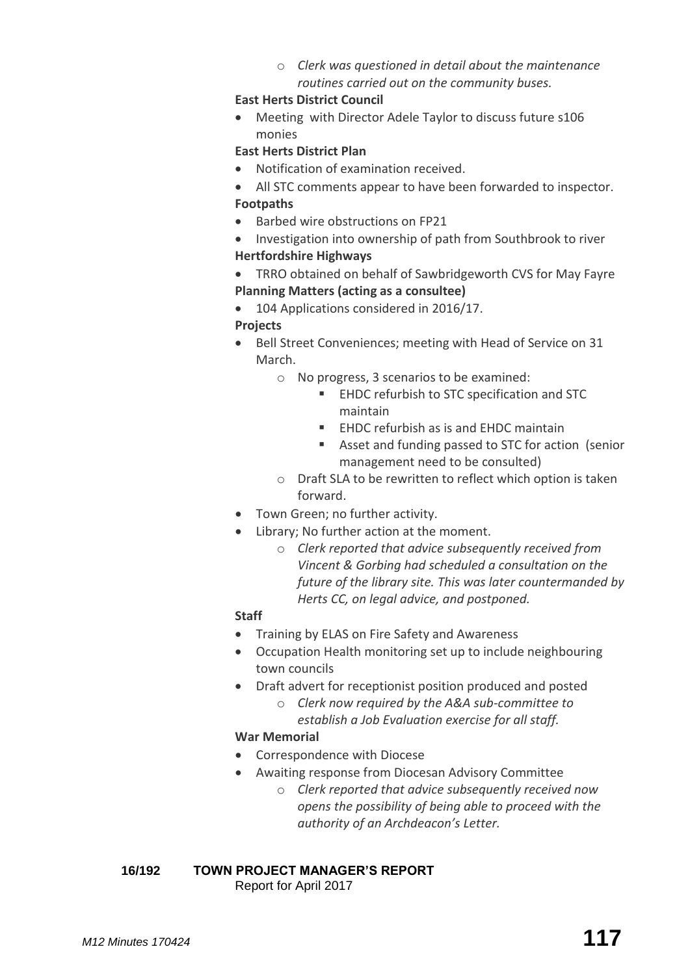o *Clerk was questioned in detail about the maintenance routines carried out on the community buses.*

## **East Herts District Council**

 Meeting with Director Adele Taylor to discuss future s106 monies

# **East Herts District Plan**

- Notification of examination received.
- All STC comments appear to have been forwarded to inspector. **Footpaths**
- Barbed wire obstructions on FP21
- Investigation into ownership of path from Southbrook to river

# **Hertfordshire Highways**

- TRRO obtained on behalf of Sawbridgeworth CVS for May Fayre **[Planning Matters \(acting as a consultee\)](http://www.sawbridgeworth-tc.gov.uk/town-council/planning)**
- 104 Applications considered in 2016/17.

# **Projects**

- Bell Street Conveniences; meeting with Head of Service on 31 March.
	- o No progress, 3 scenarios to be examined:
		- **EHDC refurbish to STC specification and STC** maintain
		- **EHDC refurbish as is and EHDC maintain**
		- Asset and funding passed to STC for action (senior management need to be consulted)
	- o Draft SLA to be rewritten to reflect which option is taken forward.
- Town Green; no further activity.
- Library; No further action at the moment.
	- o *Clerk reported that advice subsequently received from Vincent & Gorbing had scheduled a consultation on the future of the library site. This was later countermanded by Herts CC, on legal advice, and postponed.*

# **Staff**

- Training by ELAS on Fire Safety and Awareness
- Occupation Health monitoring set up to include neighbouring town councils
- Draft advert for receptionist position produced and posted
	- o *Clerk now required by the A&A sub-committee to establish a Job Evaluation exercise for all staff.*

# **War Memorial**

- Correspondence with Diocese
- Awaiting response from Diocesan Advisory Committee
	- o *Clerk reported that advice subsequently received now opens the possibility of being able to proceed with the authority of an Archdeacon's Letter.*

**16/192 TOWN PROJECT MANAGER'S REPORT** Report for April 2017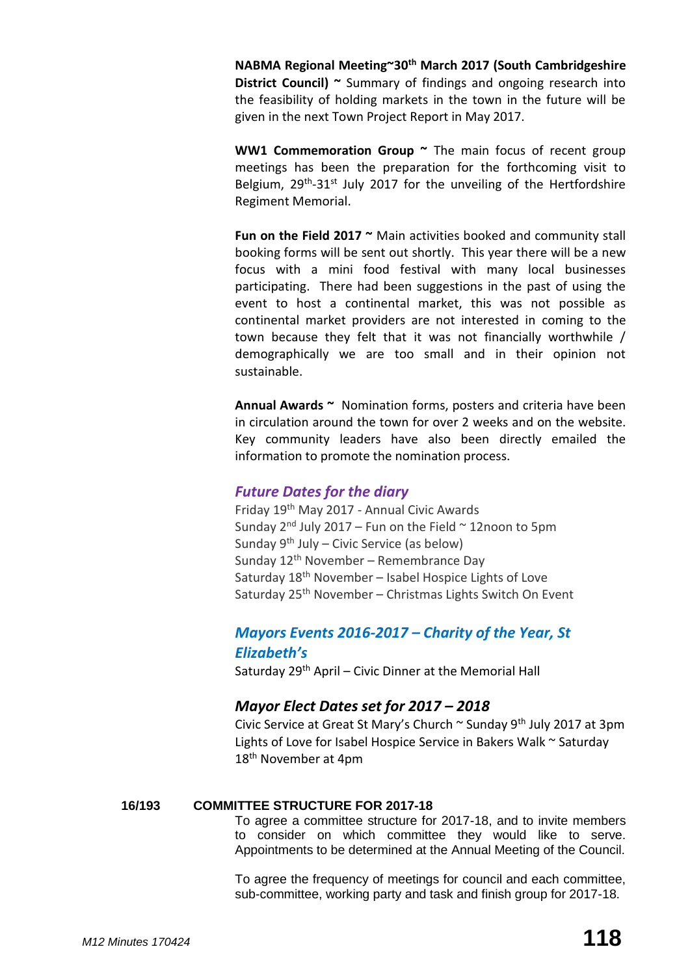**NABMA Regional Meeting~30th March 2017 (South Cambridgeshire District Council)** ~ Summary of findings and ongoing research into the feasibility of holding markets in the town in the future will be given in the next Town Project Report in May 2017.

**WW1 Commemoration Group ~** The main focus of recent group meetings has been the preparation for the forthcoming visit to Belgium, 29<sup>th</sup>-31<sup>st</sup> July 2017 for the unveiling of the Hertfordshire Regiment Memorial.

**Fun on the Field 2017 ~** Main activities booked and community stall booking forms will be sent out shortly. This year there will be a new focus with a mini food festival with many local businesses participating. There had been suggestions in the past of using the event to host a continental market, this was not possible as continental market providers are not interested in coming to the town because they felt that it was not financially worthwhile / demographically we are too small and in their opinion not sustainable.

**Annual Awards ~** Nomination forms, posters and criteria have been in circulation around the town for over 2 weeks and on the website. Key community leaders have also been directly emailed the information to promote the nomination process.

## *Future Dates for the diary*

Friday 19th May 2017 - Annual Civic Awards Sunday  $2^{nd}$  July 2017 – Fun on the Field  $\sim$  12noon to 5pm Sunday  $9<sup>th</sup>$  July – Civic Service (as below) Sunday  $12<sup>th</sup>$  November – Remembrance Day Saturday  $18<sup>th</sup>$  November – Isabel Hospice Lights of Love Saturday 25<sup>th</sup> November – Christmas Lights Switch On Event

# *Mayors Events 2016-2017 – Charity of the Year, St Elizabeth's*

Saturday 29<sup>th</sup> April – Civic Dinner at the Memorial Hall

## *Mayor Elect Dates set for 2017 – 2018*

Civic Service at Great St Mary's Church  $\sim$  Sunday 9<sup>th</sup> July 2017 at 3pm Lights of Love for Isabel Hospice Service in Bakers Walk ~ Saturday 18th November at 4pm

# **16/193 COMMITTEE STRUCTURE FOR 2017-18**

To agree a committee structure for 2017-18, and to invite members to consider on which committee they would like to serve. Appointments to be determined at the Annual Meeting of the Council.

To agree the frequency of meetings for council and each committee, sub-committee, working party and task and finish group for 2017-18.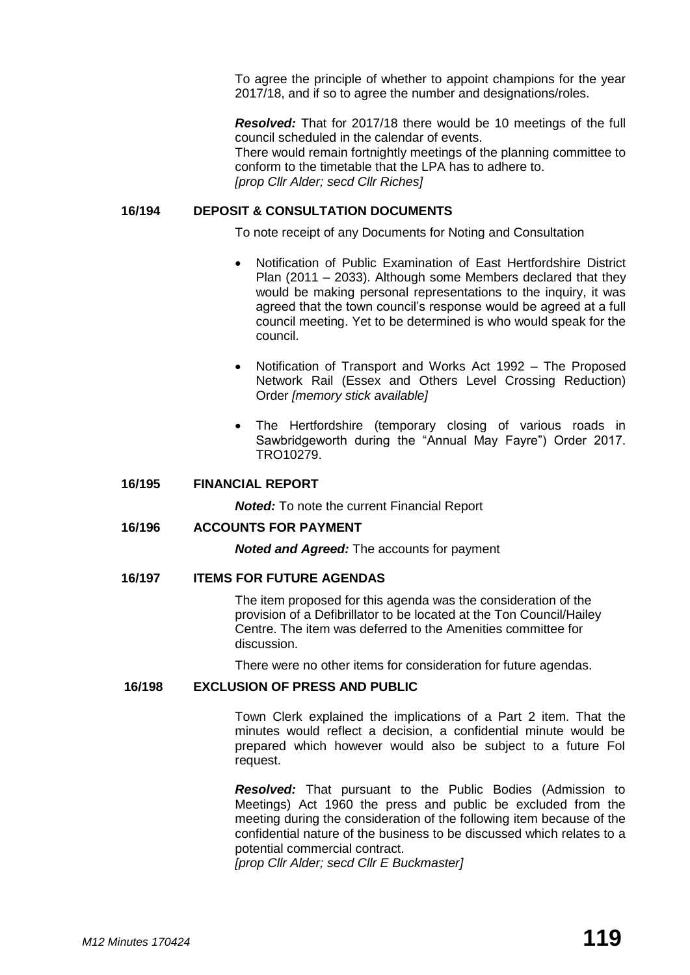To agree the principle of whether to appoint champions for the year 2017/18, and if so to agree the number and designations/roles.

*Resolved:* That for 2017/18 there would be 10 meetings of the full council scheduled in the calendar of events. There would remain fortnightly meetings of the planning committee to conform to the timetable that the LPA has to adhere to. *[prop Cllr Alder; secd Cllr Riches]*

## **16/194 DEPOSIT & CONSULTATION DOCUMENTS**

To note receipt of any Documents for Noting and Consultation

- Notification of Public Examination of East Hertfordshire District Plan (2011 – 2033). Although some Members declared that they would be making personal representations to the inquiry, it was agreed that the town council's response would be agreed at a full council meeting. Yet to be determined is who would speak for the council.
- Notification of Transport and Works Act 1992 The Proposed Network Rail (Essex and Others Level Crossing Reduction) Order *[memory stick available]*
- The Hertfordshire (temporary closing of various roads in Sawbridgeworth during the "Annual May Fayre") Order 2017. TRO10279.

#### **16/195 FINANCIAL REPORT**

*Noted:* To note the current Financial Report

#### **16/196 ACCOUNTS FOR PAYMENT**

*Noted and Agreed:* The accounts for payment

#### **16/197 ITEMS FOR FUTURE AGENDAS**

The item proposed for this agenda was the consideration of the provision of a Defibrillator to be located at the Ton Council/Hailey Centre. The item was deferred to the Amenities committee for discussion.

There were no other items for consideration for future agendas.

#### **16/198 EXCLUSION OF PRESS AND PUBLIC**

Town Clerk explained the implications of a Part 2 item. That the minutes would reflect a decision, a confidential minute would be prepared which however would also be subject to a future FoI request.

*Resolved:* That pursuant to the Public Bodies (Admission to Meetings) Act 1960 the press and public be excluded from the meeting during the consideration of the following item because of the confidential nature of the business to be discussed which relates to a potential commercial contract.

*[prop Cllr Alder; secd Cllr E Buckmaster]*